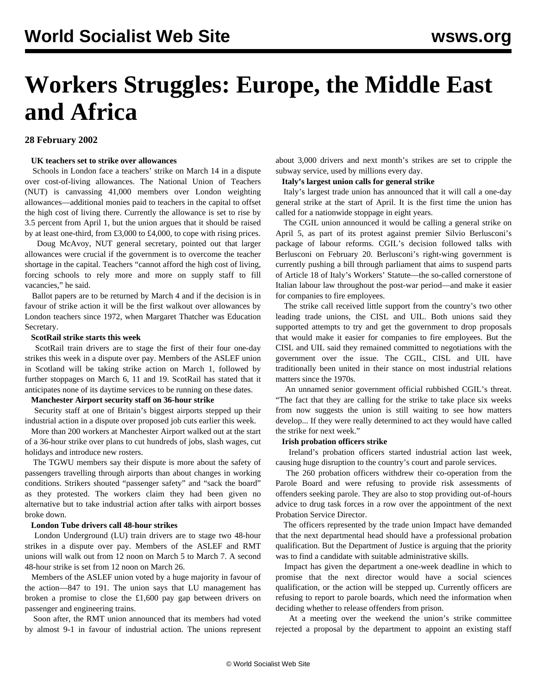# **Workers Struggles: Europe, the Middle East and Africa**

# **28 February 2002**

# **UK teachers set to strike over allowances**

 Schools in London face a teachers' strike on March 14 in a dispute over cost-of-living allowances. The National Union of Teachers (NUT) is canvassing 41,000 members over London weighting allowances—additional monies paid to teachers in the capital to offset the high cost of living there. Currently the allowance is set to rise by 3.5 percent from April 1, but the union argues that it should be raised by at least one-third, from £3,000 to £4,000, to cope with rising prices.

 Doug McAvoy, NUT general secretary, pointed out that larger allowances were crucial if the government is to overcome the teacher shortage in the capital. Teachers "cannot afford the high cost of living, forcing schools to rely more and more on supply staff to fill vacancies," he said.

 Ballot papers are to be returned by March 4 and if the decision is in favour of strike action it will be the first walkout over allowances by London teachers since 1972, when Margaret Thatcher was Education Secretary.

# **ScotRail strike starts this week**

 ScotRail train drivers are to stage the first of their four one-day strikes this week in a dispute over pay. Members of the ASLEF union in Scotland will be taking strike action on March 1, followed by further stoppages on March 6, 11 and 19. ScotRail has stated that it anticipates none of its daytime services to be running on these dates.

#### **Manchester Airport security staff on 36-hour strike**

 Security staff at one of Britain's biggest airports stepped up their industrial action in a dispute over proposed job cuts earlier this week.

 More than 200 workers at Manchester Airport walked out at the start of a 36-hour strike over plans to cut hundreds of jobs, slash wages, cut holidays and introduce new rosters.

 The TGWU members say their dispute is more about the safety of passengers travelling through airports than about changes in working conditions. Strikers shouted "passenger safety" and "sack the board" as they protested. The workers claim they had been given no alternative but to take industrial action after talks with airport bosses broke down.

#### **London Tube drivers call 48-hour strikes**

 London Underground (LU) train drivers are to stage two 48-hour strikes in a dispute over pay. Members of the ASLEF and RMT unions will walk out from 12 noon on March 5 to March 7. A second 48-hour strike is set from 12 noon on March 26.

 Members of the ASLEF union voted by a huge majority in favour of the action—847 to 191. The union says that LU management has broken a promise to close the £1,600 pay gap between drivers on passenger and engineering trains.

 Soon after, the RMT union announced that its members had voted by almost 9-1 in favour of industrial action. The unions represent about 3,000 drivers and next month's strikes are set to cripple the subway service, used by millions every day.

## **Italy's largest union calls for general strike**

 Italy's largest trade union has announced that it will call a one-day general strike at the start of April. It is the first time the union has called for a nationwide stoppage in eight years.

 The CGIL union announced it would be calling a general strike on April 5, as part of its protest against premier Silvio Berlusconi's package of labour reforms. CGIL's decision followed talks with Berlusconi on February 20. Berlusconi's right-wing government is currently pushing a bill through parliament that aims to suspend parts of Article 18 of Italy's Workers' Statute—the so-called cornerstone of Italian labour law throughout the post-war period—and make it easier for companies to fire employees.

 The strike call received little support from the country's two other leading trade unions, the CISL and UIL. Both unions said they supported attempts to try and get the government to drop proposals that would make it easier for companies to fire employees. But the CISL and UIL said they remained committed to negotiations with the government over the issue. The CGIL, CISL and UIL have traditionally been united in their stance on most industrial relations matters since the 1970s.

 An unnamed senior government official rubbished CGIL's threat. "The fact that they are calling for the strike to take place six weeks from now suggests the union is still waiting to see how matters develop... If they were really determined to act they would have called the strike for next week."

#### **Irish probation officers strike**

 Ireland's probation officers started industrial action last week, causing huge disruption to the country's court and parole services.

 The 260 probation officers withdrew their co-operation from the Parole Board and were refusing to provide risk assessments of offenders seeking parole. They are also to stop providing out-of-hours advice to drug task forces in a row over the appointment of the next Probation Service Director.

 The officers represented by the trade union Impact have demanded that the next departmental head should have a professional probation qualification. But the Department of Justice is arguing that the priority was to find a candidate with suitable administrative skills.

 Impact has given the department a one-week deadline in which to promise that the next director would have a social sciences qualification, or the action will be stepped up. Currently officers are refusing to report to parole boards, which need the information when deciding whether to release offenders from prison.

 At a meeting over the weekend the union's strike committee rejected a proposal by the department to appoint an existing staff